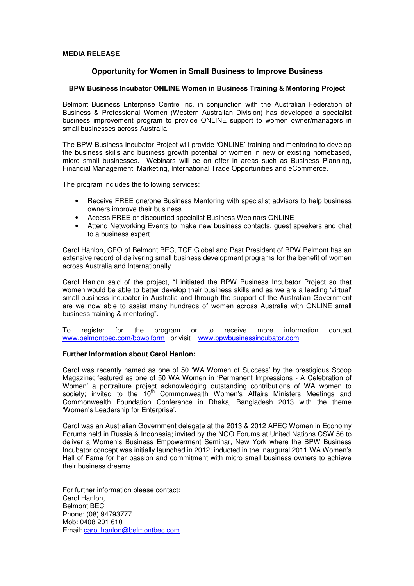## **MEDIA RELEASE**

# **Opportunity for Women in Small Business to Improve Business**

## **BPW Business Incubator ONLINE Women in Business Training & Mentoring Project**

Belmont Business Enterprise Centre Inc. in conjunction with the Australian Federation of Business & Professional Women (Western Australian Division) has developed a specialist business improvement program to provide ONLINE support to women owner/managers in small businesses across Australia.

The BPW Business Incubator Project will provide 'ONLINE' training and mentoring to develop the business skills and business growth potential of women in new or existing homebased, micro small businesses. Webinars will be on offer in areas such as Business Planning, Financial Management, Marketing, International Trade Opportunities and eCommerce.

The program includes the following services:

- Receive FREE one/one Business Mentoring with specialist advisors to help business owners improve their business
- Access FREE or discounted specialist Business Webinars ONLINE
- Attend Networking Events to make new business contacts, guest speakers and chat to a business expert

Carol Hanlon, CEO of Belmont BEC, TCF Global and Past President of BPW Belmont has an extensive record of delivering small business development programs for the benefit of women across Australia and Internationally.

Carol Hanlon said of the project, "I initiated the BPW Business Incubator Project so that women would be able to better develop their business skills and as we are a leading 'virtual' small business incubator in Australia and through the support of the Australian Government are we now able to assist many hundreds of women across Australia with ONLINE small business training & mentoring".

To register for the program or to receive more information contact www.belmontbec.com/bpwbiform or visit www.bpwbusinessincubator.com

## **Further Information about Carol Hanlon:**

Carol was recently named as one of 50 'WA Women of Success' by the prestigious Scoop Magazine; featured as one of 50 WA Women in 'Permanent Impressions - A Celebration of Women' a portraiture project acknowledging outstanding contributions of WA women to society; invited to the 10<sup>th</sup> Commonwealth Women's Affairs Ministers Meetings and Commonwealth Foundation Conference in Dhaka, Bangladesh 2013 with the theme 'Women's Leadership for Enterprise'.

Carol was an Australian Government delegate at the 2013 & 2012 APEC Women in Economy Forums held in Russia & Indonesia; invited by the NGO Forums at United Nations CSW 56 to deliver a Women's Business Empowerment Seminar, New York where the BPW Business Incubator concept was initially launched in 2012; inducted in the Inaugural 2011 WA Women's Hall of Fame for her passion and commitment with micro small business owners to achieve their business dreams.

For further information please contact: Carol Hanlon, Belmont BEC Phone: (08) 94793777 Mob: 0408 201 610 Email: carol.hanlon@belmontbec.com